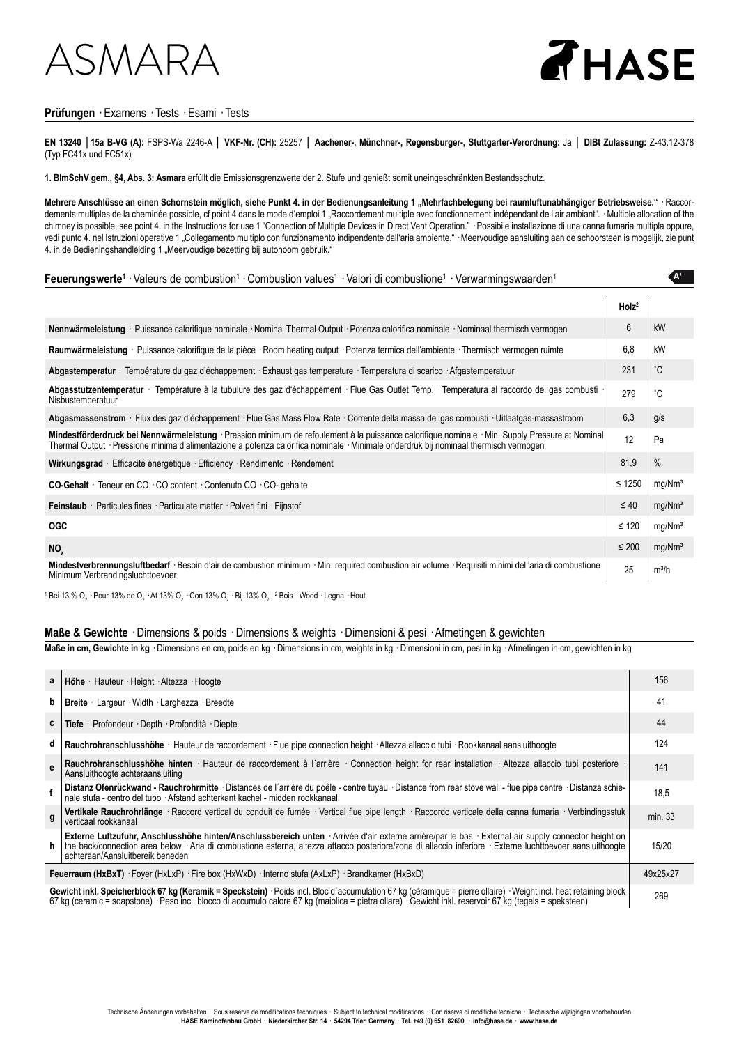### $\triangle$ SM $\triangle$

# THASE

**A+**

### **Prüfungen** · Examens · Tests · Esami · Tests

**EN 13240** │**15a B-VG (A):** FSPS-Wa 2246-A │ **VKF-Nr. (CH):** 25257 │ **Aachener-, Münchner-, Regensburger-, Stuttgarter-Verordnung:** Ja │ **DIBt Zulassung:** Z-43.12-378 (Typ FC41x und FC51x)

**1. BImSchV gem., §4, Abs. 3: Asmara** erfüllt die Emissionsgrenzwerte der 2. Stufe und genießt somit uneingeschränkten Bestandsschutz.

Mehrere Anschlüsse an einen Schornstein möglich, siehe Punkt 4. in der Bedienungsanleitung 1 "Mehrfachbelegung bei raumluftunabhängiger Betriebsweise." · Raccordements multiples de la cheminée possible, cf point 4 dans le mode d'emploi 1 "Raccordement multiple avec fonctionnement indépendant de l'air ambiant". · Multiple allocation of the chimney is possible, see point 4. in the Instructions for use 1 "Connection of Multiple Devices in Direct Vent Operation." · Possibile installazione di una canna fumaria multipla oppure, vedi punto 4. nel Istruzioni operative 1 "Collegamento multiplo con funzionamento indipendente dall'aria ambiente." · Meervoudige aansluiting aan de schoorsteen is mogelijk, zie punt 4. in de Bedieningshandleiding 1 "Meervoudige bezetting bij autonoom gebruik."

### Feuerungswerte<sup>1</sup> · Valeurs de combustion<sup>1</sup> · Combustion values<sup>1</sup> · Valori di combustione<sup>1</sup> · Verwarmingswaarden<sup>1</sup>

|                                                                                                                                                                                                                                                                                          | Holz <sup>2</sup> |                    |
|------------------------------------------------------------------------------------------------------------------------------------------------------------------------------------------------------------------------------------------------------------------------------------------|-------------------|--------------------|
| Nennwärmeleistung · Puissance calorifique nominale · Nominal Thermal Output · Potenza calorifica nominale · Nominaal thermisch vermogen                                                                                                                                                  | 6                 | kW                 |
| Raumwärmeleistung · Puissance calorifique de la pièce · Room heating output · Potenza termica dell'ambiente · Thermisch vermogen ruimte                                                                                                                                                  | 6.8               | kW                 |
| Abgastemperatur · Température du gaz d'échappement · Exhaust gas temperature · Temperatura di scarico · Afgastemperatuur                                                                                                                                                                 | 231               | $^{\circ}$ C       |
| Abgasstutzentemperatur · Température à la tubulure des gaz d'échappement · Flue Gas Outlet Temp. · Temperatura al raccordo dei gas combusti<br>Nisbustemperatuur                                                                                                                         | 279               | °С                 |
| Abgasmassenstrom · Flux des gaz d'échappement · Flue Gas Mass Flow Rate · Corrente della massa dei gas combusti · Uitlaatgas-massastroom                                                                                                                                                 | 6,3               | g/s                |
| Mindestförderdruck bei Nennwärmeleistung · Pression minimum de refoulement à la puissance calorifique nominale · Min. Supply Pressure at Nominal<br>Thermal Output · Pressione minima d'alimentazione a potenza calorifica nominale · Minimale onderdruk bij nominaal thermisch vermogen | 12                | Pa                 |
| Wirkungsgrad · Efficacité énergétique · Efficiency · Rendimento · Rendement                                                                                                                                                                                                              | 81,9              | $\%$               |
| <b>CO-Gehalt</b> · Teneur en CO · CO content · Contenuto CO · CO-gehalte                                                                                                                                                                                                                 | $\leq 1250$       | mq/Nm <sup>3</sup> |
| Feinstaub · Particules fines · Particulate matter · Polveri fini · Fijnstof                                                                                                                                                                                                              | $\leq 40$         | mq/Mm <sup>3</sup> |
| <b>OGC</b>                                                                                                                                                                                                                                                                               | $\leq 120$        | mq/Nm <sup>3</sup> |
| NO <sub>v</sub>                                                                                                                                                                                                                                                                          | $\leq 200$        | mg/Nm <sup>3</sup> |
| Mindestverbrennungsluftbedarf · Besoin d'air de combustion minimum · Min. required combustion air volume · Requisiti minimi dell'aria di combustione<br>Minimum Verbrandingsluchttoevoer                                                                                                 | 25                | m <sup>3</sup> /h  |

 $^{\rm 1}$  Bei 13 % O $_{\rm 2}$  · Pour 13% de O $_{\rm 2}$  · At 13% O $_{\rm 2}$  · Con 13% O $_{\rm 2}$  · Bij 13% O $_{\rm 2}$  |  $^{\rm 2}$  Bois  $\cdot$  Wood  $\cdot$  Legna  $\cdot$  Hout

#### **Maße & Gewichte** · Dimensions & poids · Dimensions & weights · Dimensioni & pesi · Afmetingen & gewichten

**Maße in cm, Gewichte in kg** · Dimensions en cm, poids en kg · Dimensions in cm, weights in kg · Dimensioni in cm, pesi in kg · Afmetingen in cm, gewichten in kg

| a                                                                                                                                                                                                                                                                                                                             | <b>Höhe</b> · Hauteur · Height · Altezza · Hoogte                                                                                                                                                                                                                                                                                                     | 156      |
|-------------------------------------------------------------------------------------------------------------------------------------------------------------------------------------------------------------------------------------------------------------------------------------------------------------------------------|-------------------------------------------------------------------------------------------------------------------------------------------------------------------------------------------------------------------------------------------------------------------------------------------------------------------------------------------------------|----------|
| b                                                                                                                                                                                                                                                                                                                             | Breite · Largeur · Width · Larghezza · Breedte                                                                                                                                                                                                                                                                                                        | 41       |
| c                                                                                                                                                                                                                                                                                                                             | Tiefe Profondeur Depth Profondità Diepte                                                                                                                                                                                                                                                                                                              | 44       |
| d                                                                                                                                                                                                                                                                                                                             | Rauchrohranschlusshöhe · Hauteur de raccordement · Flue pipe connection height · Altezza allaccio tubi · Rookkanaal aansluithoogte                                                                                                                                                                                                                    | 124      |
| A                                                                                                                                                                                                                                                                                                                             | Rauchrohranschlusshöhe hinten · Hauteur de raccordement à l'arrière · Connection height for rear installation · Altezza allaccio tubi posteriore<br>Aansluithoogte achteraansluiting                                                                                                                                                                  | 141      |
|                                                                                                                                                                                                                                                                                                                               | Distanz Ofenrückwand - Rauchrohrmitte · Distances de l'arrière du poêle - centre tuyau · Distance from rear stove wall - flue pipe centre · Distanza schie-<br>nale stufa - centro del tubo · Afstand achterkant kachel - midden rookkanaal                                                                                                           | 18,5     |
| q                                                                                                                                                                                                                                                                                                                             | Vertikale Rauchrohrlänge · Raccord vertical du conduit de fumée · Vertical flue pipe length · Raccordo verticale della canna fumaria · Verbindingsstuk<br>verticaal rookkanaal                                                                                                                                                                        | min. 33  |
|                                                                                                                                                                                                                                                                                                                               | Externe Luftzufuhr, Anschlusshöhe hinten/Anschlussbereich unten · Arrivée d'air externe arrière/par le bas · External air supply connector height on<br>the back/connection area below · Aria di combustione esterna, altezza attacco posteriore/zona di allaccio inferiore · Externe luchttoevoer aansluithoogte<br>achteraan/Aansluitbereik beneden | 15/20    |
| <b>Feuerraum (HxBxT)</b> · Foyer (HxLxP) · Fire box (HxWxD) · Interno stufa (AxLxP) · Brandkamer (HxBxD)                                                                                                                                                                                                                      |                                                                                                                                                                                                                                                                                                                                                       | 49x25x27 |
| Gewicht inkl. Speicherblock 67 kg (Keramik = Speckstein) · Poids incl. Bloc d'accumulation 67 kg (céramique = pierre ollaire) · Weight incl. heat retaining block<br>67 kg (ceramic = soapstone) · Peso incl. blocco di accumulo calore 67 kg (maiolica = pietra ollare) · Gewicht inkl. reservoir 67 kg (tegels = speksteen) |                                                                                                                                                                                                                                                                                                                                                       | 269      |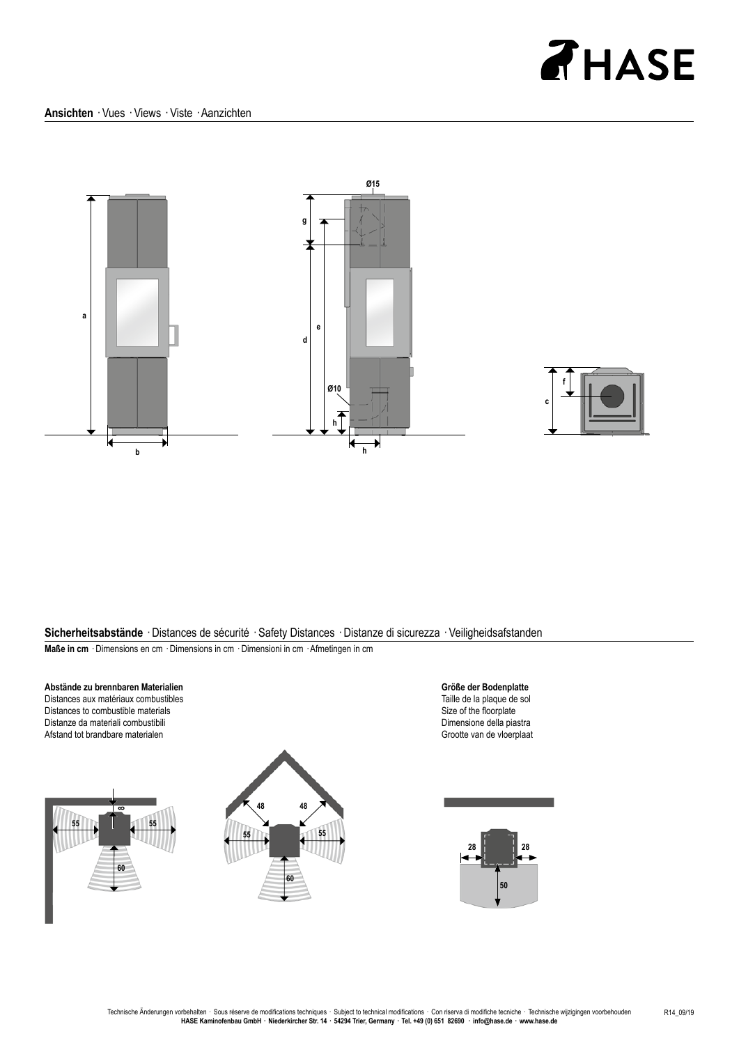## **AHASE**





**Sicherheitsabstände** · Distances de sécurité · Safety Distances · Distanze di sicurezza · Veiligheidsafstanden **Maße in cm** · Dimensions en cm · Dimensions in cm · Dimensioni in cm · Afmetingen in cm







**Größe der Bodenplatte** Taille de la plaque de sol Size of the floorplate Dimensione della piastra Grootte van de vloerplaat

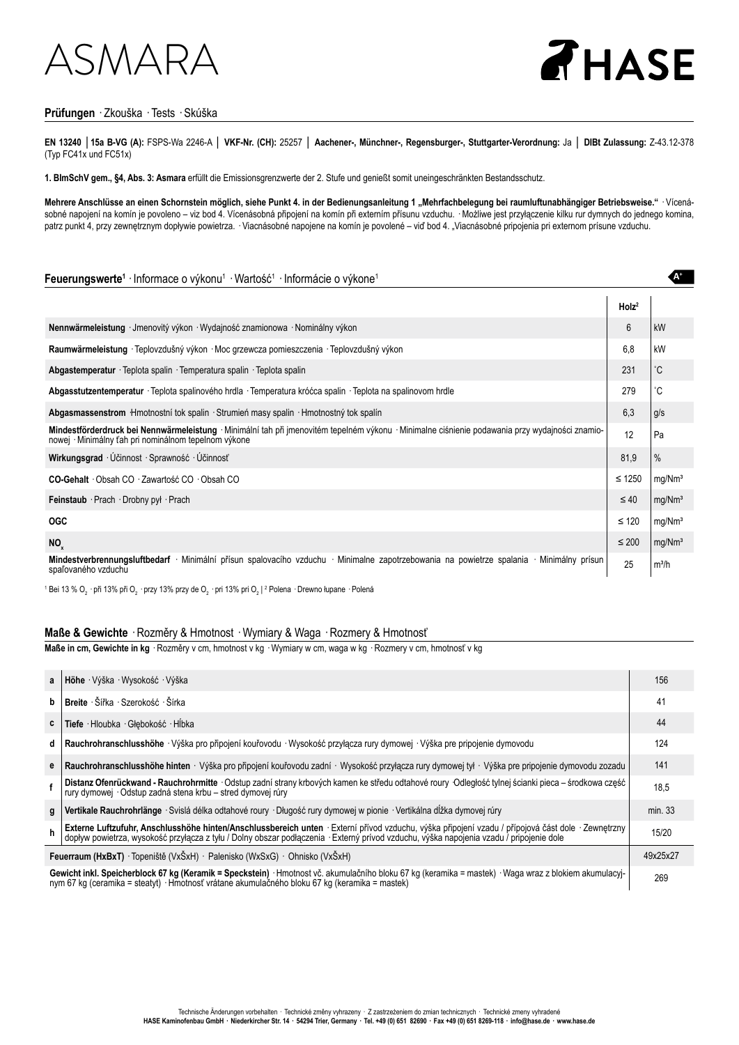### ASMARA



**A+**

### **Prüfungen** · Zkouška · Tests · Skúška

**EN 13240** │**15a B-VG (A):** FSPS-Wa 2246-A │ **VKF-Nr. (CH):** 25257 │ **Aachener-, Münchner-, Regensburger-, Stuttgarter-Verordnung:** Ja │ **DIBt Zulassung:** Z-43.12-378 (Typ FC41x und FC51x)

**1. BImSchV gem., §4, Abs. 3: Asmara** erfüllt die Emissionsgrenzwerte der 2. Stufe und genießt somit uneingeschränkten Bestandsschutz.

Mehrere Anschlüsse an einen Schornstein möglich, siehe Punkt 4. in der Bedienungsanleitung 1 "Mehrfachbelegung bei raumluftunabhängiger Betriebsweise." · Vícenásobné napojení na komín je povoleno – viz bod 4. Vícenásobná připojení na komín při externím přísunu vzduchu. · Możliwe jest przyłączenie kilku rur dymnych do jednego komina, patrz punkt 4, przy zewnętrznym dopływie powietrza. · Viacnásobné napojene na komín je povolené – viď bod 4. "Viacnásobné pripojenia pri externom prísune vzduchu.

### Feuerungswerte<sup>1</sup> · Informace o výkonu<sup>1</sup> · Wartość<sup>1</sup> · Informácie o výkone<sup>1</sup>

|                                                                                                                                                                                                         | Holz <sup>2</sup> |                    |
|---------------------------------------------------------------------------------------------------------------------------------------------------------------------------------------------------------|-------------------|--------------------|
| Nennwärmeleistung · Jmenovitý výkon · Wydajność znamionowa · Nominálny výkon                                                                                                                            | 6                 | kW                 |
| Raumwärmeleistung · Teplovzdušný výkon · Moc grzewcza pomieszczenia · Teplovzdušný výkon                                                                                                                | 6.8               | kW                 |
| Abgastemperatur · Teplota spalin · Temperatura spalin · Teplota spalin                                                                                                                                  | 231               | °С                 |
| Abgasstutzentemperatur · Teplota spalinového hrdla · Temperatura króćca spalin · Teplota na spalinovom hrdle                                                                                            | 279               | ۴С                 |
| Abgasmassenstrom Hmotnostní tok spalin · Strumień masy spalin · Hmotnostný tok spalín                                                                                                                   | 6,3               | g/s                |
| Mindestförderdruck bei Nennwärmeleistung · Minimální tah při jmenovitém tepelném výkonu · Minimalne ciśnienie podawania przy wydajności znamio-<br>nowej · Minimálny ťah pri nominálnom tepelnom výkone | 12                | Pa                 |
| Wirkungsgrad · Účinnost · Sprawność · Účinnosť                                                                                                                                                          | 81,9              | $\%$               |
| CO-Gehalt Obsah CO Zawartość CO Obsah CO                                                                                                                                                                | $\leq 1250$       | mg/Nm <sup>3</sup> |
| Feinstaub · Prach · Drobny pyl · Prach                                                                                                                                                                  | $\leq 40$         | mg/Nm <sup>3</sup> |
| <b>OGC</b>                                                                                                                                                                                              | $\leq 120$        | mg/Mm <sup>3</sup> |
| NO <sub>x</sub>                                                                                                                                                                                         | $\leq 200$        | mg/Nm <sup>3</sup> |
| Mindestverbrennungsluftbedarf · Minimální přísun spalovacího vzduchu · Minimalne zapotrzebowania na powietrze spalania · Minimálny prísun<br>spaľovaného vzduchu                                        | 25                | $m^3/h$            |

 $^{\rm 1}$  Bei 13 % O $_{\rm _2}$  · při 13% při O $_{\rm _2}$  · przy 13% przy de O $_{\rm _2}$  · pri 13% pri O $_{\rm _2}$  l  $^{\rm 2}$  Polena  $\cdot$  Drewno łupane  $\cdot$  Polená

#### **Maße & Gewichte** · Rozměry & Hmotnost · Wymiary & Waga · Rozmery & Hmotnosť

**Maße in cm, Gewichte in kg** · Rozměry v cm, hmotnost v kg · Wymiary w cm, waga w kg · Rozmery v cm, hmotnosť v kg

| $\mathbf{a}$                                                                     | Höhe Výška Wysokość Výška                                                                                                                                                                                                                                | 156      |
|----------------------------------------------------------------------------------|----------------------------------------------------------------------------------------------------------------------------------------------------------------------------------------------------------------------------------------------------------|----------|
| b                                                                                | Breite · Šířka · Szerokość · Šírka                                                                                                                                                                                                                       | 41       |
| C                                                                                | Tiefe · Hloubka · Głebokość · Hĺbka                                                                                                                                                                                                                      | 44       |
| d                                                                                | Rauchrohranschlusshöhe · Výška pro připojení kouřovodu · Wysokość przyłącza rury dymowej · Výška pre pripojenie dymovodu                                                                                                                                 | 124      |
|                                                                                  | Rauchrohranschlusshöhe hinten · Výška pro připojení kouřovodu zadní · Wysokość przyłącza rury dymowej tył · Výška pre pripojenie dymovodu zozadu                                                                                                         | 141      |
|                                                                                  | Distanz Ofenrückwand - Rauchrohrmitte · Odstup zadní strany krbových kamen ke středu odtahové roury · Odległość tylnej ścianki pieca – środkowa część<br>rury dymowej · Odstup zadná stena krbu – stred dymovej rúry                                     | 18,5     |
| g                                                                                | Vertikale Rauchrohrlänge · Svislá délka odtahové roury · Długość rury dymowej w pionie · Vertikálna dĺžka dymovej rúry                                                                                                                                   | min. 33  |
|                                                                                  | Externe Luftzufuhr, Anschlusshöhe hinten/Anschlussbereich unten · Externí přívod vzduchu, výška připojení vzadu / přípojová část dole · Zewnętrzny<br>doplyw powietrza, wysokość przyłącza z tyłu / Dolny obszar podłączenia · Ex                        | 15/20    |
| <b>Feuerraum (HxBxT)</b> Topeniště (VxŠxH) · Palenisko (WxSxG) · Ohnisko (VxŠxH) |                                                                                                                                                                                                                                                          | 49x25x27 |
|                                                                                  | Gewicht inkl. Speicherblock 67 kg (Keramik = Speckstein) · Hmotnost vč. akumulačního bloku 67 kg (keramika = mastek) · Waga wraz z blokiem akumulacyj-<br>nym 67 kg (ceramika = steatyt) · Hmotnosť vrátane akumulačného bloku 67 kg (keramika = mastek) | 269      |